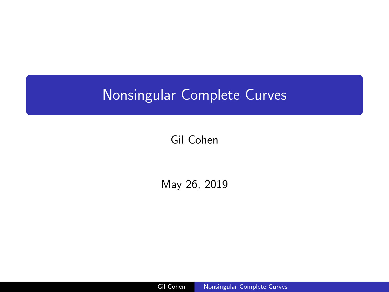# <span id="page-0-0"></span>Nonsingular Complete Curves

Gil Cohen

May 26, 2019

Gil Cohen [Nonsingular Complete Curves](#page-11-0)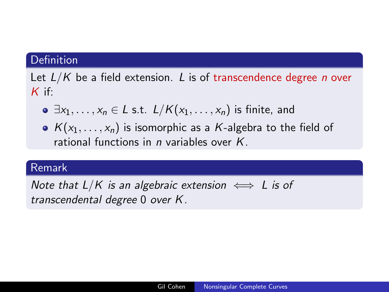Let  $L/K$  be a field extension. L is of transcendence degree *n* over  $K$  if:

- $\bullet \exists x_1, \ldots, x_n \in L$  s.t.  $L/K(x_1, \ldots, x_n)$  is finite, and
- $K(x_1, \ldots, x_n)$  is isomorphic as a K-algebra to the field of rational functions in n variables over K.

## Remark

Note that  $L/K$  is an algebraic extension  $\iff$  L is of transcendental degree 0 over K.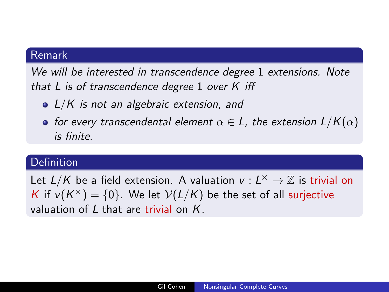# Remark

We will be interested in transcendence degree 1 extensions. Note that  $L$  is of transcendence degree 1 over  $K$  iff

- $\bullet$  L/K is not an algebraic extension, and
- for every transcendental element  $\alpha \in L$ , the extension  $L/K(\alpha)$ is finite.

#### Definition

Let  $L/K$  be a field extension. A valuation  $v : L^{\times} \to \mathbb{Z}$  is trivial on K if  $v(K^{\times}) = \{0\}$ . We let  $V(L/K)$  be the set of all surjective valuation of  $L$  that are trivial on  $K$ .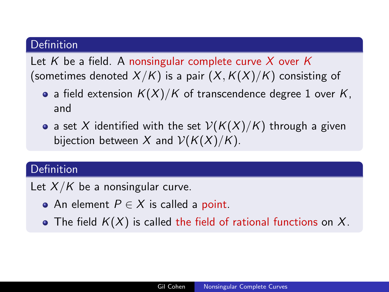Let K be a field. A nonsingular complete curve X over K (sometimes denoted  $X/K$ ) is a pair  $(X, K(X)/K)$  consisting of

- a field extension  $K(X)/K$  of transcendence degree 1 over K, and
- a set X identified with the set  $V(K(X)/K)$  through a given bijection between X and  $V(K(X)/K)$ .

# **Definition**

Let  $X/K$  be a nonsingular curve.

- An element  $P \in X$  is called a point.
- The field  $K(X)$  is called the field of rational functions on X.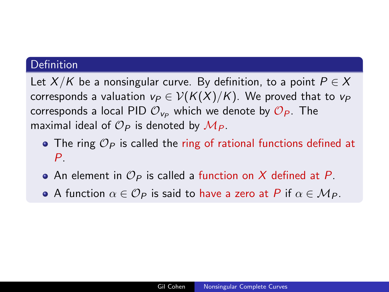Let  $X/K$  be a nonsingular curve. By definition, to a point  $P \in X$ corresponds a valuation  $v_P \in V(K(X)/K)$ . We proved that to  $v_P$ corresponds a local PID  $\mathcal{O}_{V_P}$  which we denote by  $\mathcal{O}_P$ . The maximal ideal of  $\mathcal{O}_P$  is denoted by  $\mathcal{M}_P$ .

- The ring  $\mathcal{O}_P$  is called the ring of rational functions defined at  $P_{\perp}$
- An element in  $\mathcal{O}_P$  is called a function on X defined at P.
- A function  $\alpha \in \mathcal{O}_P$  is said to have a zero at P if  $\alpha \in \mathcal{M}_P$ .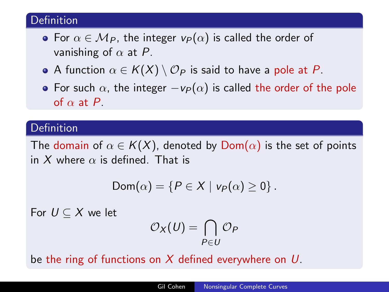- For  $\alpha \in M_P$ , the integer  $v_P(\alpha)$  is called the order of vanishing of  $\alpha$  at P.
- A function  $\alpha \in K(X) \setminus \mathcal{O}_P$  is said to have a pole at P.
- For such  $\alpha$ , the integer  $-v_P(\alpha)$  is called the order of the pole of  $\alpha$  at P.

## Definition

The domain of  $\alpha \in K(X)$ , denoted by  $Dom(\alpha)$  is the set of points in X where  $\alpha$  is defined. That is

$$
Dom(\alpha) = \{P \in X \mid v_P(\alpha) \geq 0\}.
$$

For  $U \subset X$  we let

$$
\mathcal{O}_X(U)=\bigcap_{P\in U}\mathcal{O}_P
$$

be the ring of functions on X defined everywhere on  $U$ .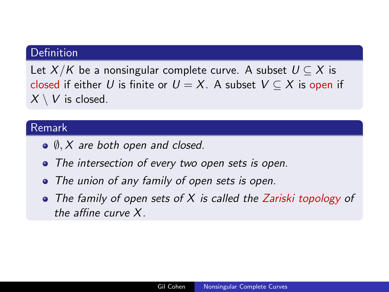Let  $X/K$  be a nonsingular complete curve. A subset  $U \subseteq X$  is closed if either U is finite or  $U = X$ . A subset  $V \subset X$  is open if  $X \setminus V$  is closed.

## Remark

- $\bullet$   $\emptyset$ , X are both open and closed.
- The intersection of every two open sets is open.
- The union of any family of open sets is open.
- $\bullet$  The family of open sets of X is called the Zariski topology of the affine curve X.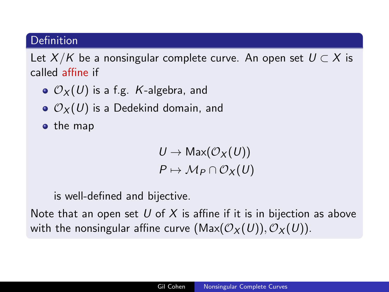Let  $X/K$  be a nonsingular complete curve. An open set  $U \subset X$  is called affine if

- $\bullet$   $\mathcal{O}_X(U)$  is a f.g. K-algebra, and
- $\bullet$   $\mathcal{O}_X(U)$  is a Dedekind domain, and
- $\bullet$  the map

 $U \to Max(\mathcal{O}_X(U))$  $P \mapsto M_P \cap \mathcal{O}_X(U)$ 

is well-defined and bijective.

Note that an open set U of X is affine if it is in bijection as above with the nonsingular affine curve  $(Max(\mathcal{O}_X(U)), \mathcal{O}_X(U)).$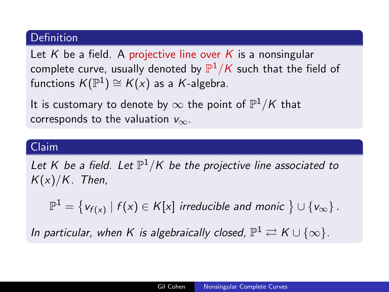Let K be a field. A projective line over K is a nonsingular complete curve, usually denoted by  $\mathbb{P}^1/\mathcal{K}$  such that the field of functions  $K(\mathbb{P}^1) \cong K(x)$  as a  $K$ -algebra.

It is customary to denote by  $\infty$  the point of  $\mathbb{P}^1/\mathcal{K}$  that corresponds to the valuation  $v_{\infty}$ .

## Claim

Let K be a field. Let  $\mathbb{P}^1/\mathsf{K}$  be the projective line associated to  $K(x)/K$ . Then,

 $\mathbb{P}^1 = \big\{ \mathsf{v}_{f(\mathsf{x})} \mid f(\mathsf{x}) \in \mathsf{K}[\mathsf{x}] \textit{ irreducible and monic } \big\} \cup \{ \mathsf{v}_\infty \} \,.$ 

In particular, when K is algebraically closed,  $\mathbb{P}^1 \rightleftarrows K \cup \{\infty\}.$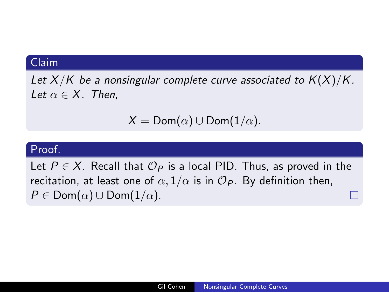#### Claim

Let  $X/K$  be a nonsingular complete curve associated to  $K(X)/K$ . Let  $\alpha \in X$ . Then,

$$
X = \mathsf{Dom}(\alpha) \cup \mathsf{Dom}(1/\alpha).
$$

## Proof.

Let  $P \in X$ . Recall that  $\mathcal{O}_P$  is a local PID. Thus, as proved in the recitation, at least one of  $\alpha$ ,  $1/\alpha$  is in  $\mathcal{O}_P$ . By definition then,  $P \in \text{Dom}(\alpha) \cup \text{Dom}(1/\alpha)$ .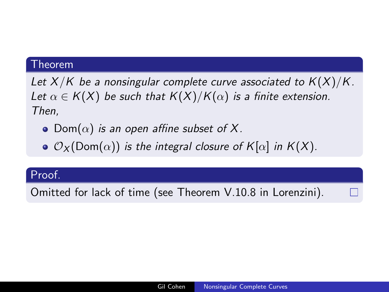#### Theorem

Let  $X/K$  be a nonsingular complete curve associated to  $K(X)/K$ . Let  $\alpha \in K(X)$  be such that  $K(X)/K(\alpha)$  is a finite extension. Then,

- Dom $(\alpha)$  is an open affine subset of X.
- $\bullet$   $\mathcal{O}_X$ (Dom $(\alpha)$ ) is the integral closure of K[ $\alpha$ ] in K(X).

#### Proof.

Omitted for lack of time (see Theorem V.10.8 in Lorenzini).